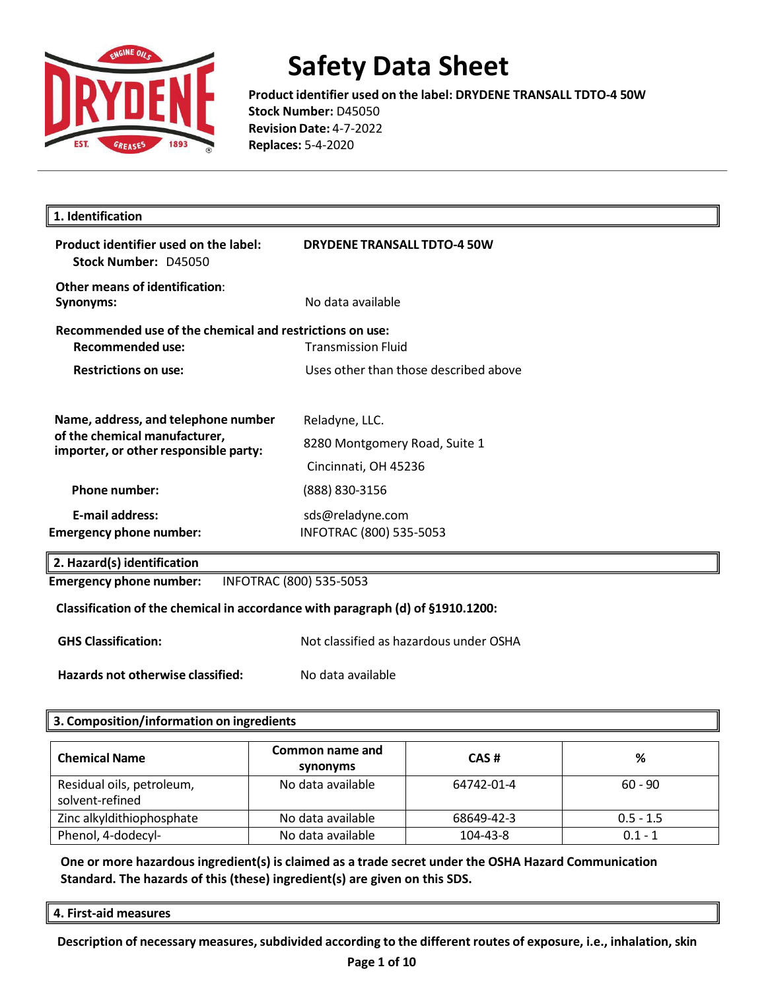

**Product identifier used on the label: DRYDENE TRANSALL TDTO-4 50W Stock Number:** D45050 **Revision Date:** 4-7-2022 **Replaces:** 5-4-2020

| Product identifier used on the label:<br>Stock Number: D45050                                                 | <b>DRYDENE TRANSALL TDTO-4 50W</b>              |  |
|---------------------------------------------------------------------------------------------------------------|-------------------------------------------------|--|
| Other means of identification:<br>Synonyms:                                                                   | No data available                               |  |
| Recommended use of the chemical and restrictions on use:<br>Recommended use:                                  | <b>Transmission Fluid</b>                       |  |
| <b>Restrictions on use:</b>                                                                                   | Uses other than those described above           |  |
| Name, address, and telephone number<br>of the chemical manufacturer,<br>importer, or other responsible party: | Reladyne, LLC.<br>8280 Montgomery Road, Suite 1 |  |
|                                                                                                               | Cincinnati, OH 45236                            |  |
| <b>Phone number:</b>                                                                                          | (888) 830-3156                                  |  |
| <b>E-mail address:</b>                                                                                        | sds@reladyne.com                                |  |
| <b>Emergency phone number:</b>                                                                                | INFOTRAC (800) 535-5053                         |  |

#### **Classification of the chemical in accordance with paragraph (d) of §1910.1200:**

**GHS Classification:** Not classified as hazardous under OSHA

**Hazards not otherwise classified:** No data available

#### **3. Composition/information on ingredients**

| <b>Chemical Name</b>                         | Common name and<br>synonyms | CAS#       | %           |
|----------------------------------------------|-----------------------------|------------|-------------|
| Residual oils, petroleum,<br>solvent-refined | No data available           | 64742-01-4 | $60 - 90$   |
| Zinc alkyldithiophosphate                    | No data available           | 68649-42-3 | $0.5 - 1.5$ |
| Phenol, 4-dodecyl-                           | No data available           | 104-43-8   | $0.1 - 1$   |

**One or more hazardous ingredient(s) is claimed as a trade secret under the OSHA Hazard Communication Standard. The hazards of this (these) ingredient(s) are given on this SDS.**

#### **4. First-aid measures**

**Description of necessary measures,subdivided according to the different routes of exposure, i.e., inhalation, skin**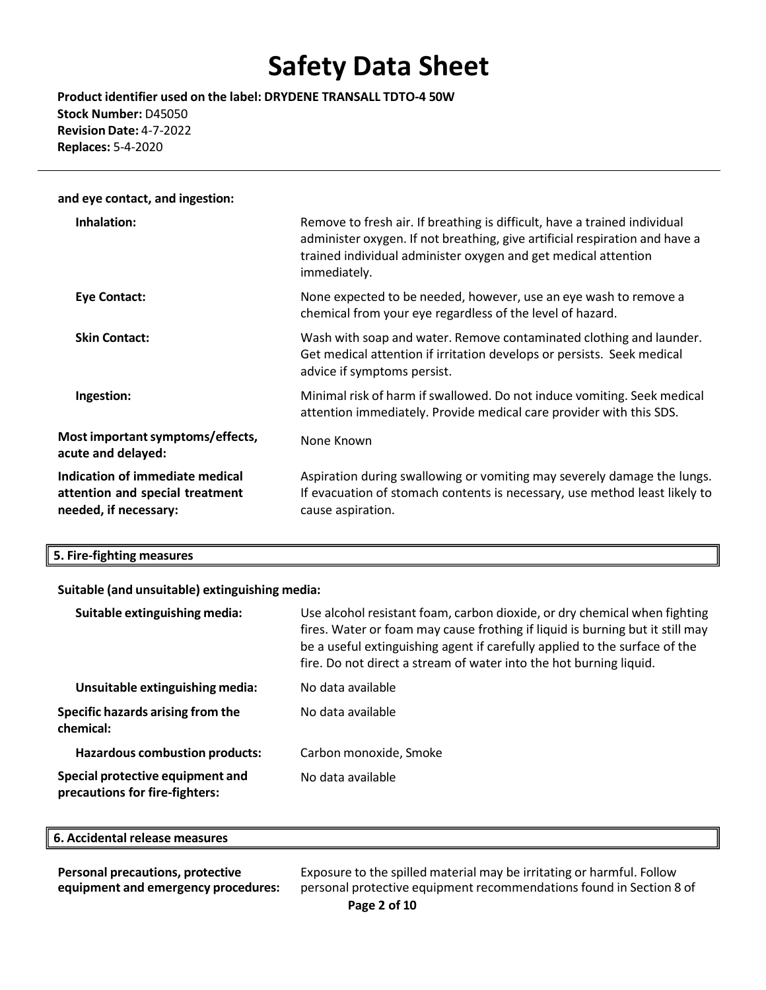**Product identifier used on the label: DRYDENE TRANSALL TDTO-4 50W Stock Number:** D45050 **Revision Date:** 4-7-2022 **Replaces:** 5-4-2020

| and eye contact, and ingestion:                                                             |                                                                                                                                                                                                                                            |
|---------------------------------------------------------------------------------------------|--------------------------------------------------------------------------------------------------------------------------------------------------------------------------------------------------------------------------------------------|
| Inhalation:                                                                                 | Remove to fresh air. If breathing is difficult, have a trained individual<br>administer oxygen. If not breathing, give artificial respiration and have a<br>trained individual administer oxygen and get medical attention<br>immediately. |
| Eye Contact:                                                                                | None expected to be needed, however, use an eye wash to remove a<br>chemical from your eye regardless of the level of hazard.                                                                                                              |
| <b>Skin Contact:</b>                                                                        | Wash with soap and water. Remove contaminated clothing and launder.<br>Get medical attention if irritation develops or persists. Seek medical<br>advice if symptoms persist.                                                               |
| Ingestion:                                                                                  | Minimal risk of harm if swallowed. Do not induce vomiting. Seek medical<br>attention immediately. Provide medical care provider with this SDS.                                                                                             |
| Most important symptoms/effects,<br>acute and delayed:                                      | None Known                                                                                                                                                                                                                                 |
| Indication of immediate medical<br>attention and special treatment<br>needed, if necessary: | Aspiration during swallowing or vomiting may severely damage the lungs.<br>If evacuation of stomach contents is necessary, use method least likely to<br>cause aspiration.                                                                 |

#### **Suitable (and unsuitable) extinguishing media:**

| Suitable extinguishing media:                                      | Use alcohol resistant foam, carbon dioxide, or dry chemical when fighting<br>fires. Water or foam may cause frothing if liquid is burning but it still may<br>be a useful extinguishing agent if carefully applied to the surface of the<br>fire. Do not direct a stream of water into the hot burning liquid. |
|--------------------------------------------------------------------|----------------------------------------------------------------------------------------------------------------------------------------------------------------------------------------------------------------------------------------------------------------------------------------------------------------|
| Unsuitable extinguishing media:                                    | No data available                                                                                                                                                                                                                                                                                              |
| Specific hazards arising from the<br>chemical:                     | No data available                                                                                                                                                                                                                                                                                              |
| <b>Hazardous combustion products:</b>                              | Carbon monoxide, Smoke                                                                                                                                                                                                                                                                                         |
| Special protective equipment and<br>precautions for fire-fighters: | No data available                                                                                                                                                                                                                                                                                              |

| 6. Accidental release measures |  |  |
|--------------------------------|--|--|
|--------------------------------|--|--|

**Personal precautions, protective equipment and emergency procedures:** Exposure to the spilled material may be irritating or harmful. Follow personal protective equipment recommendations found in Section 8 of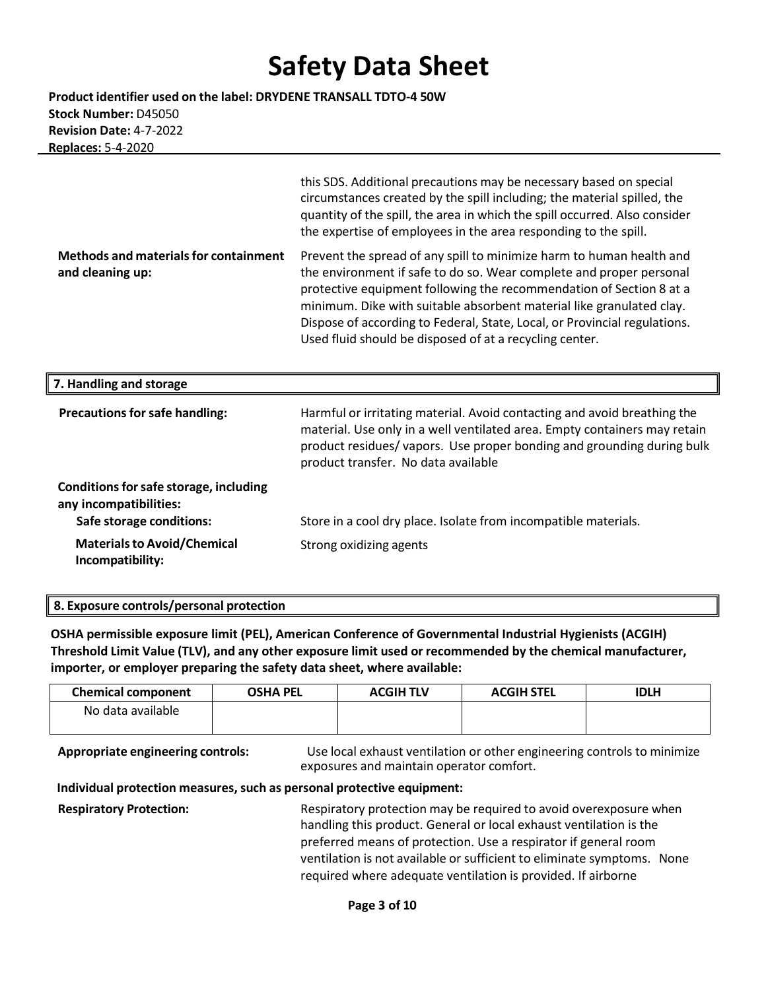**Product identifier used on the label: DRYDENE TRANSALL TDTO-4 50W Stock Number:** D45050 **Revision Date:** 4-7-2022  **Replaces:** 5-4-2020

|                                                                  | this SDS. Additional precautions may be necessary based on special<br>circumstances created by the spill including; the material spilled, the<br>quantity of the spill, the area in which the spill occurred. Also consider<br>the expertise of employees in the area responding to the spill.                                                                                                                                     |
|------------------------------------------------------------------|------------------------------------------------------------------------------------------------------------------------------------------------------------------------------------------------------------------------------------------------------------------------------------------------------------------------------------------------------------------------------------------------------------------------------------|
| <b>Methods and materials for containment</b><br>and cleaning up: | Prevent the spread of any spill to minimize harm to human health and<br>the environment if safe to do so. Wear complete and proper personal<br>protective equipment following the recommendation of Section 8 at a<br>minimum. Dike with suitable absorbent material like granulated clay.<br>Dispose of according to Federal, State, Local, or Provincial regulations.<br>Used fluid should be disposed of at a recycling center. |
| 7. Handling and storage                                          |                                                                                                                                                                                                                                                                                                                                                                                                                                    |
| <b>Precautions for safe handling:</b>                            | Harmful or irritating material. Avoid contacting and avoid breathing the<br>material. Use only in a well ventilated area. Empty containers may retain<br>product residues/vapors. Use proper bonding and grounding during bulk<br>product transfer. No data available                                                                                                                                                              |
| Conditions for safe storage, including<br>any incompatibilities: |                                                                                                                                                                                                                                                                                                                                                                                                                                    |
| Safe storage conditions:                                         | Store in a cool dry place. Isolate from incompatible materials.                                                                                                                                                                                                                                                                                                                                                                    |
| <b>Materials to Avoid/Chemical</b>                               |                                                                                                                                                                                                                                                                                                                                                                                                                                    |

#### **8. Exposure controls/personal protection**

**OSHA permissible exposure limit (PEL), American Conference of Governmental Industrial Hygienists (ACGIH) Threshold Limit Value (TLV), and any other exposure limit used or recommended by the chemical manufacturer, importer, or employer preparing the safety data sheet, where available:**

| <b>Chemical component</b> | <b>OSHA PEL</b> | <b>ACGIH TLV</b> | <b>ACGIH STEL</b> | IDLH |
|---------------------------|-----------------|------------------|-------------------|------|
| No data available         |                 |                  |                   |      |
|                           |                 |                  |                   |      |

**Appropriate engineering controls:** Use local exhaust ventilation or other engineering controls to minimize exposures and maintain operator comfort.

#### **Individual protection measures, such as personal protective equipment:**

**Respiratory Protection:** Respiratory protection may be required to avoid overexposure when handling this product. General or local exhaust ventilation is the preferred means of protection. Use a respirator if general room ventilation is not available or sufficient to eliminate symptoms. None required where adequate ventilation is provided. If airborne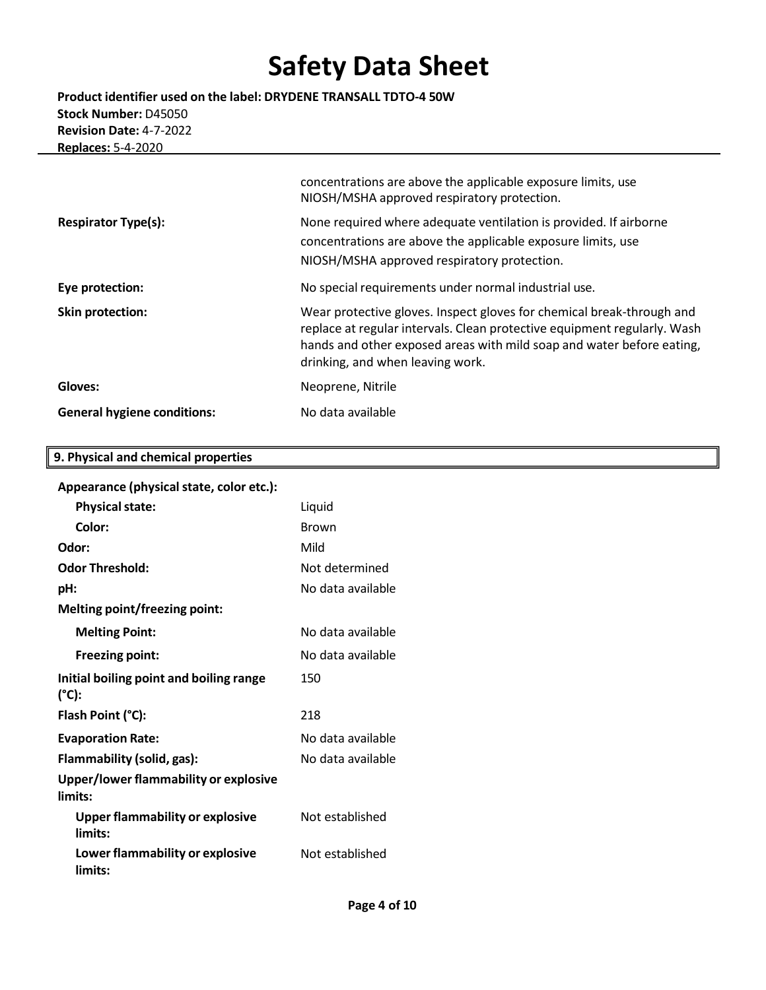**Product identifier used on the label: DRYDENE TRANSALL TDTO-4 50W Stock Number:** D45050 **Revision Date:** 4-7-2022  **Replaces:** 5-4-2020

|                                    | concentrations are above the applicable exposure limits, use<br>NIOSH/MSHA approved respiratory protection.                                                                                                                                                    |
|------------------------------------|----------------------------------------------------------------------------------------------------------------------------------------------------------------------------------------------------------------------------------------------------------------|
| <b>Respirator Type(s):</b>         | None required where adequate ventilation is provided. If airborne<br>concentrations are above the applicable exposure limits, use<br>NIOSH/MSHA approved respiratory protection.                                                                               |
| Eye protection:                    | No special requirements under normal industrial use.                                                                                                                                                                                                           |
| <b>Skin protection:</b>            | Wear protective gloves. Inspect gloves for chemical break-through and<br>replace at regular intervals. Clean protective equipment regularly. Wash<br>hands and other exposed areas with mild soap and water before eating,<br>drinking, and when leaving work. |
| Gloves:                            | Neoprene, Nitrile                                                                                                                                                                                                                                              |
| <b>General hygiene conditions:</b> | No data available                                                                                                                                                                                                                                              |

### **9. Physical and chemical properties**

### **Appearance (physicalstate, color etc.):**

| <b>Physical state:</b>                            | Liquid            |
|---------------------------------------------------|-------------------|
| Color:                                            | <b>Brown</b>      |
| Odor:                                             | Mild              |
| <b>Odor Threshold:</b>                            | Not determined    |
| pH:                                               | No data available |
| Melting point/freezing point:                     |                   |
| <b>Melting Point:</b>                             | No data available |
| <b>Freezing point:</b>                            | No data available |
| Initial boiling point and boiling range<br>(°C):  | 150               |
| Flash Point (°C):                                 | 218               |
| <b>Evaporation Rate:</b>                          | No data available |
| Flammability (solid, gas):                        | No data available |
| Upper/lower flammability or explosive<br>limits:  |                   |
| <b>Upper flammability or explosive</b><br>limits: | Not established   |
| Lower flammability or explosive<br>limits:        | Not established   |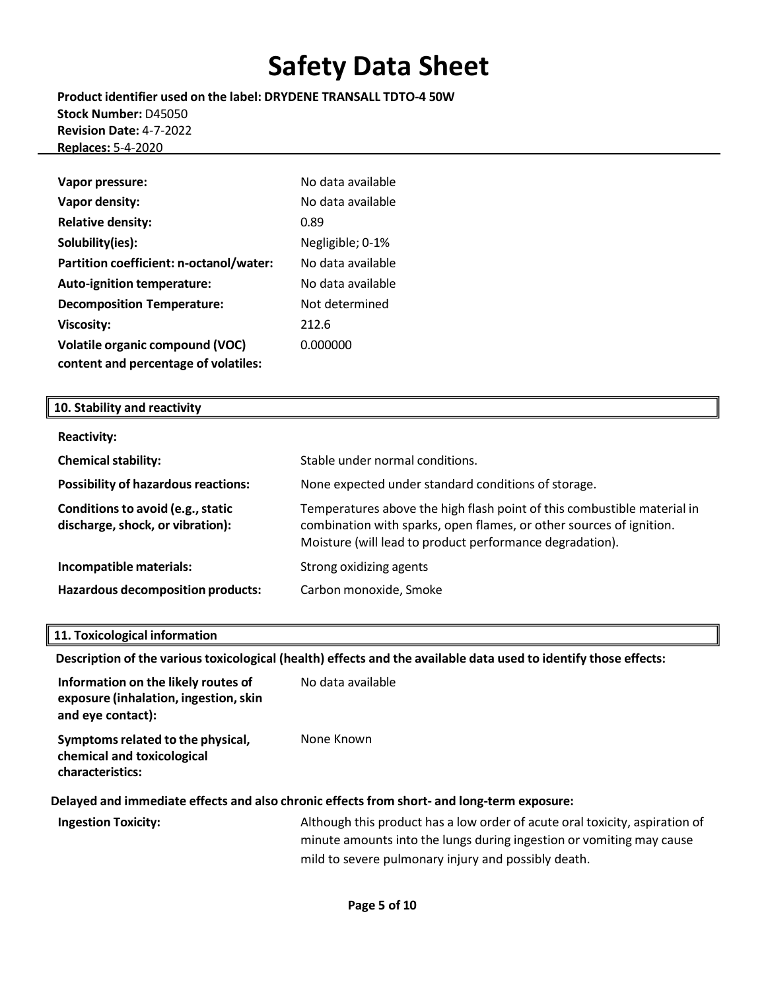**Product identifier used on the label: DRYDENE TRANSALL TDTO-4 50W Stock Number:** D45050 **Revision Date:** 4-7-2022  **Replaces:** 5-4-2020

| Vapor pressure:                         | No data available |
|-----------------------------------------|-------------------|
| Vapor density:                          | No data available |
| <b>Relative density:</b>                | 0.89              |
| Solubility(ies):                        | Negligible; 0-1%  |
| Partition coefficient: n-octanol/water: | No data available |
| Auto-ignition temperature:              | No data available |
| <b>Decomposition Temperature:</b>       | Not determined    |
| <b>Viscosity:</b>                       | 212.6             |
| <b>Volatile organic compound (VOC)</b>  | 0.000000          |
| content and percentage of volatiles:    |                   |

### **10. Stability and reactivity**

| <b>Reactivity:</b>                                                    |                                                                                                                                                                                                            |
|-----------------------------------------------------------------------|------------------------------------------------------------------------------------------------------------------------------------------------------------------------------------------------------------|
| <b>Chemical stability:</b>                                            | Stable under normal conditions.                                                                                                                                                                            |
| <b>Possibility of hazardous reactions:</b>                            | None expected under standard conditions of storage.                                                                                                                                                        |
| Conditions to avoid (e.g., static<br>discharge, shock, or vibration): | Temperatures above the high flash point of this combustible material in<br>combination with sparks, open flames, or other sources of ignition.<br>Moisture (will lead to product performance degradation). |
| Incompatible materials:                                               | Strong oxidizing agents                                                                                                                                                                                    |
| <b>Hazardous decomposition products:</b>                              | Carbon monoxide, Smoke                                                                                                                                                                                     |

#### **11. Toxicological information**

**Description of the varioustoxicological (health) effects and the available data used to identify those effects:**

| Information on the likely routes of<br>exposure (inhalation, ingestion, skin<br>and eye contact): | No data available                                                                                                                                   |
|---------------------------------------------------------------------------------------------------|-----------------------------------------------------------------------------------------------------------------------------------------------------|
| Symptoms related to the physical,<br>chemical and toxicological<br>characteristics:               | None Known                                                                                                                                          |
|                                                                                                   | Delayed and immediate effects and also chronic effects from short- and long-term exposure:                                                          |
| <b>Ingestion Toxicity:</b>                                                                        | Although this product has a low order of acute oral toxicity, aspiration of<br>minute amounts into the lungs during ingestion or vomiting may cause |

mild to severe pulmonary injury and possibly death.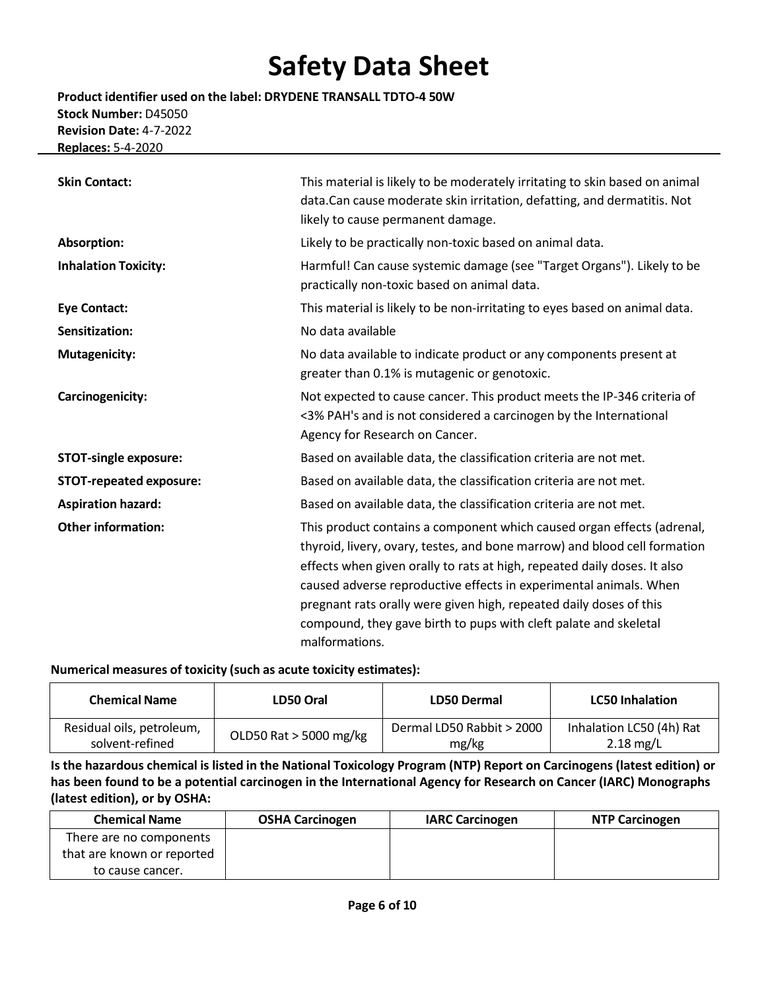**Product identifier used on the label: DRYDENE TRANSALL TDTO-4 50W Stock Number:** D45050 **Revision Date:** 4-7-2022  **Replaces:** 5-4-2020

| <b>Skin Contact:</b>           | This material is likely to be moderately irritating to skin based on animal<br>data.Can cause moderate skin irritation, defatting, and dermatitis. Not<br>likely to cause permanent damage.                                                                                                                                                                                                                                                                      |  |  |  |
|--------------------------------|------------------------------------------------------------------------------------------------------------------------------------------------------------------------------------------------------------------------------------------------------------------------------------------------------------------------------------------------------------------------------------------------------------------------------------------------------------------|--|--|--|
| Absorption:                    | Likely to be practically non-toxic based on animal data.                                                                                                                                                                                                                                                                                                                                                                                                         |  |  |  |
| <b>Inhalation Toxicity:</b>    | Harmful! Can cause systemic damage (see "Target Organs"). Likely to be<br>practically non-toxic based on animal data.                                                                                                                                                                                                                                                                                                                                            |  |  |  |
| <b>Eye Contact:</b>            | This material is likely to be non-irritating to eyes based on animal data.                                                                                                                                                                                                                                                                                                                                                                                       |  |  |  |
| Sensitization:                 | No data available                                                                                                                                                                                                                                                                                                                                                                                                                                                |  |  |  |
| <b>Mutagenicity:</b>           | No data available to indicate product or any components present at<br>greater than 0.1% is mutagenic or genotoxic.                                                                                                                                                                                                                                                                                                                                               |  |  |  |
| Carcinogenicity:               | Not expected to cause cancer. This product meets the IP-346 criteria of<br><3% PAH's and is not considered a carcinogen by the International<br>Agency for Research on Cancer.                                                                                                                                                                                                                                                                                   |  |  |  |
| <b>STOT-single exposure:</b>   | Based on available data, the classification criteria are not met.                                                                                                                                                                                                                                                                                                                                                                                                |  |  |  |
| <b>STOT-repeated exposure:</b> | Based on available data, the classification criteria are not met.                                                                                                                                                                                                                                                                                                                                                                                                |  |  |  |
| <b>Aspiration hazard:</b>      | Based on available data, the classification criteria are not met.                                                                                                                                                                                                                                                                                                                                                                                                |  |  |  |
| <b>Other information:</b>      | This product contains a component which caused organ effects (adrenal,<br>thyroid, livery, ovary, testes, and bone marrow) and blood cell formation<br>effects when given orally to rats at high, repeated daily doses. It also<br>caused adverse reproductive effects in experimental animals. When<br>pregnant rats orally were given high, repeated daily doses of this<br>compound, they gave birth to pups with cleft palate and skeletal<br>malformations. |  |  |  |

#### **Numerical measures of toxicity (such as acute toxicity estimates):**

| <b>Chemical Name</b>      | LD50 Oral                | LD50 Dermal               | <b>LC50 Inhalation</b>   |
|---------------------------|--------------------------|---------------------------|--------------------------|
| Residual oils, petroleum, | OLD50 Rat $>$ 5000 mg/kg | Dermal LD50 Rabbit > 2000 | Inhalation LC50 (4h) Rat |
| solvent-refined           |                          | mg/kg                     | $2.18 \,\mathrm{mg/L}$   |

Is the hazardous chemical is listed in the National Toxicology Program (NTP) Report on Carcinogens (latest edition) or **has been found to be a potential carcinogen in the International Agency for Research on Cancer (IARC) Monographs (latest edition), or by OSHA:**

| <b>Chemical Name</b>       | <b>OSHA Carcinogen</b> | <b>IARC Carcinogen</b> | <b>NTP Carcinogen</b> |
|----------------------------|------------------------|------------------------|-----------------------|
| There are no components    |                        |                        |                       |
| that are known or reported |                        |                        |                       |
| to cause cancer.           |                        |                        |                       |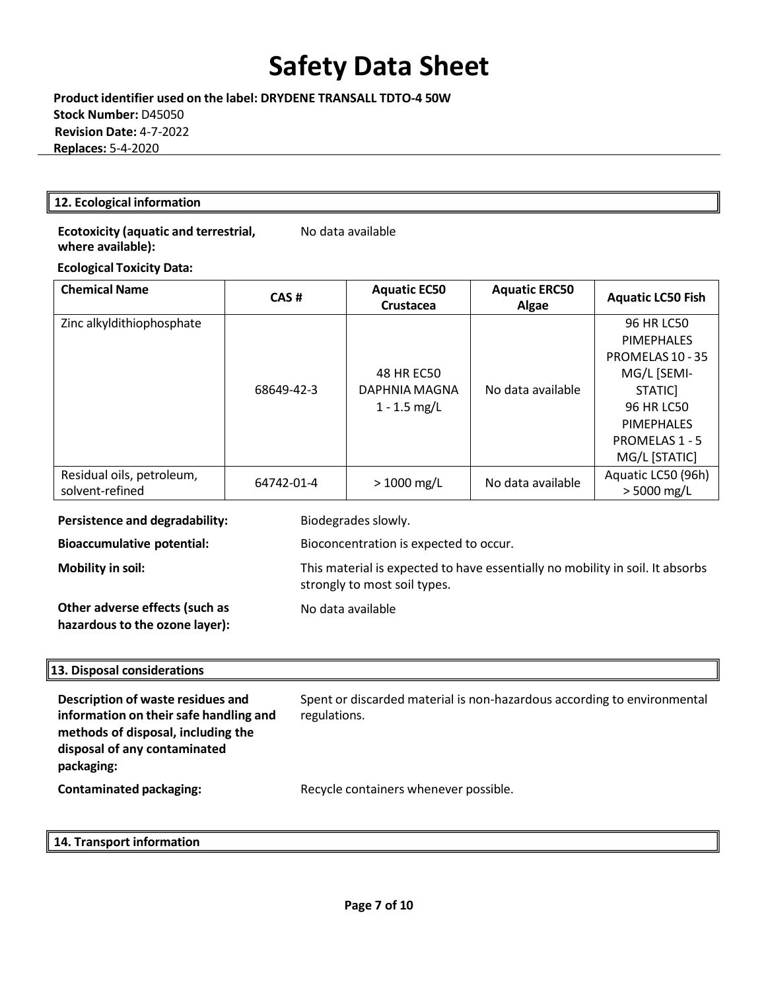**Product identifier used on the label: DRYDENE TRANSALL TDTO-4 50W Stock Number:** D45050 **Revision Date:** 4-7-2022  **Replaces:** 5-4-2020

#### **12. Ecological information**

#### **Ecotoxicity (aquatic and terrestrial, where available):**

No data available

### **Ecological Toxicity Data:**

| <b>Chemical Name</b>      | CAS#       | <b>Aquatic EC50</b><br>Crustacea | <b>Aquatic ERC50</b><br>Algae | <b>Aquatic LC50 Fish</b> |
|---------------------------|------------|----------------------------------|-------------------------------|--------------------------|
| Zinc alkyldithiophosphate |            |                                  |                               | 96 HR LC50               |
|                           |            |                                  |                               | <b>PIMEPHALES</b>        |
|                           |            |                                  |                               | PROMELAS 10 - 35         |
|                           |            | 48 HR EC50                       |                               | MG/L [SEMI-              |
|                           | 68649-42-3 | DAPHNIA MAGNA                    | No data available             | STATIC]                  |
|                           |            | $1 - 1.5$ mg/L                   |                               | 96 HR LC50               |
|                           |            |                                  |                               | <b>PIMEPHALES</b>        |
|                           |            |                                  |                               | <b>PROMELAS 1 - 5</b>    |
|                           |            |                                  |                               | MG/L [STATIC]            |
| Residual oils, petroleum, | 64742-01-4 | $> 1000$ mg/L                    | No data available             | Aquatic LC50 (96h)       |
| solvent-refined           |            |                                  |                               | $> 5000$ mg/L            |

#### **Persistence and degradability:** Biodegrades slowly.

**Bioaccumulative potential:** Bioconcentration is expected to occur.

**Mobility in soil:** This material is expected to have essentially no mobility in soil. It absorbs

**Other adverse effects (such as hazardous to the ozone layer):** No data available

strongly to most soil types.

### **13. Disposal considerations**

| Description of waste residues and<br>information on their safe handling and<br>methods of disposal, including the<br>disposal of any contaminated<br>packaging: | Spent or discarded material is non-hazardous according to environmental<br>regulations. |
|-----------------------------------------------------------------------------------------------------------------------------------------------------------------|-----------------------------------------------------------------------------------------|
| <b>Contaminated packaging:</b>                                                                                                                                  | Recycle containers whenever possible.                                                   |

### **14. Transport information**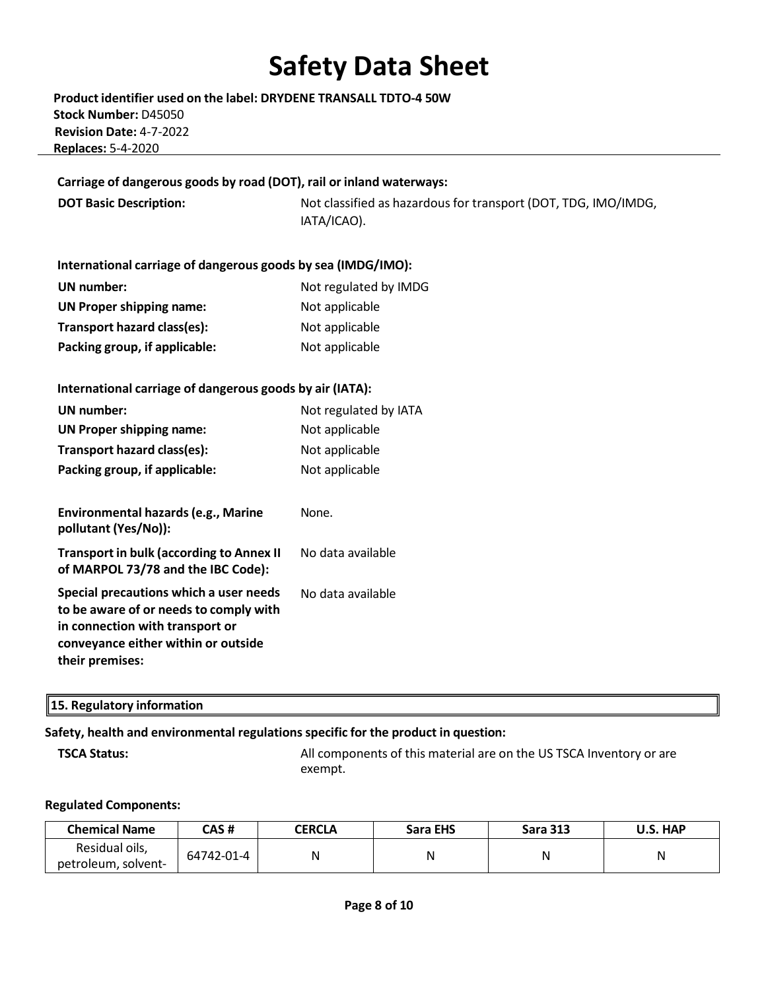**Product identifier used on the label: DRYDENE TRANSALL TDTO-4 50W Stock Number:** D45050 **Revision Date:** 4-7-2022  **Replaces:** 5-4-2020

#### **Carriage of dangerous goods by road (DOT), rail or inland waterways:**

**DOT Basic Description:** Not classified as hazardous for transport (DOT, TDG, IMO/IMDG, IATA/ICAO).

### **International carriage of dangerous goods by sea (IMDG/IMO):**

| UN number:                    | Not regulated by IMDG |
|-------------------------------|-----------------------|
| UN Proper shipping name:      | Not applicable        |
| Transport hazard class(es):   | Not applicable        |
| Packing group, if applicable: | Not applicable        |

#### **International carriage of dangerous goods by air (IATA):**

| UN number:<br><b>UN Proper shipping name:</b><br>Transport hazard class(es):<br>Packing group, if applicable:                                                                 | Not regulated by IATA<br>Not applicable<br>Not applicable<br>Not applicable |
|-------------------------------------------------------------------------------------------------------------------------------------------------------------------------------|-----------------------------------------------------------------------------|
| Environmental hazards (e.g., Marine<br>pollutant (Yes/No)):                                                                                                                   | None.                                                                       |
| <b>Transport in bulk (according to Annex II</b><br>of MARPOL 73/78 and the IBC Code):                                                                                         | No data available                                                           |
| Special precautions which a user needs<br>to be aware of or needs to comply with<br>in connection with transport or<br>conveyance either within or outside<br>their premises: | No data available                                                           |

#### **15. Regulatory information**

### **Safety, health and environmental regulationsspecific for the product in question:**

**TSCA Status:** All components of this material are on the US TSCA Inventory or are exempt.

#### **Regulated Components:**

| <b>Chemical Name</b>                  | CAS #      | <b>CERCLA</b> | <b>Sara EHS</b> | <b>Sara 313</b> | U.S. HAP |
|---------------------------------------|------------|---------------|-----------------|-----------------|----------|
| Residual oils,<br>petroleum, solvent- | 64742-01-4 | Ν             | N               |                 | N        |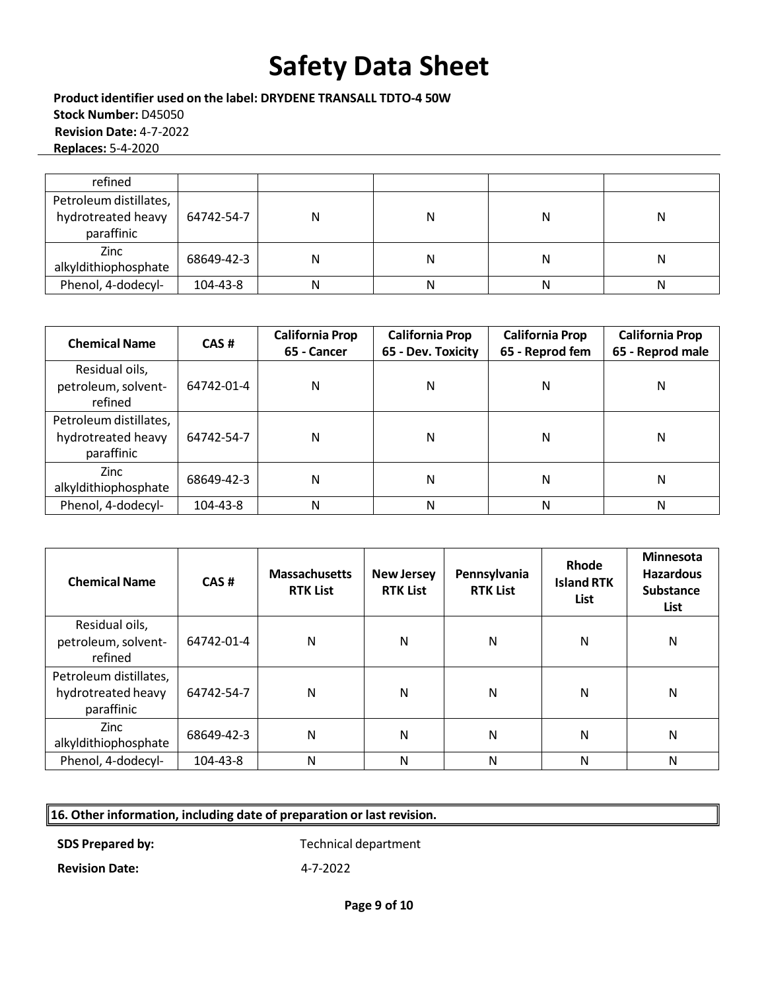**Product identifier used on the label: DRYDENE TRANSALL TDTO-4 50W Stock Number:** D45050 **Revision Date:** 4-7-2022  **Replaces:** 5-4-2020

| refined                |            |   |   |   |   |
|------------------------|------------|---|---|---|---|
| Petroleum distillates, |            |   |   |   |   |
| hydrotreated heavy     | 64742-54-7 | Ν | Ν | N | N |
| paraffinic             |            |   |   |   |   |
| <b>Zinc</b>            | 68649-42-3 | Ν | Ν | Ν | Ν |
| alkyldithiophosphate   |            |   |   |   |   |
| Phenol, 4-dodecyl-     | 104-43-8   | N | Ν | N | N |

| <b>Chemical Name</b>                                       | CAS#       | <b>California Prop</b><br>65 - Cancer | <b>California Prop</b><br>65 - Dev. Toxicity | <b>California Prop</b><br>65 - Reprod fem | <b>California Prop</b><br>65 - Reprod male |  |
|------------------------------------------------------------|------------|---------------------------------------|----------------------------------------------|-------------------------------------------|--------------------------------------------|--|
| Residual oils,<br>petroleum, solvent-<br>refined           | 64742-01-4 | N                                     | Ν                                            | Ν                                         | N                                          |  |
| Petroleum distillates,<br>hydrotreated heavy<br>paraffinic | 64742-54-7 | N                                     | Ν                                            | Ν                                         | Ν                                          |  |
| Zinc<br>alkyldithiophosphate                               | 68649-42-3 | N                                     | Ν                                            | Ν                                         | Ν                                          |  |
| Phenol, 4-dodecyl-                                         | 104-43-8   | N                                     | Ν                                            | Ν                                         | Ν                                          |  |

| <b>Chemical Name</b>                                       | CAS#       | <b>Massachusetts</b><br><b>RTK List</b> | <b>New Jersey</b><br><b>RTK List</b> | Pennsylvania<br><b>RTK List</b> | Rhode<br><b>Island RTK</b><br>List | <b>Minnesota</b><br><b>Hazardous</b><br><b>Substance</b><br>List |
|------------------------------------------------------------|------------|-----------------------------------------|--------------------------------------|---------------------------------|------------------------------------|------------------------------------------------------------------|
| Residual oils,<br>petroleum, solvent-<br>refined           | 64742-01-4 | N                                       | N                                    | N                               | N                                  | N                                                                |
| Petroleum distillates,<br>hydrotreated heavy<br>paraffinic | 64742-54-7 | N                                       | N                                    | N                               | N                                  | N                                                                |
| Zinc<br>alkyldithiophosphate                               | 68649-42-3 | N                                       | N                                    | N                               | N                                  | N                                                                |
| Phenol, 4-dodecyl-                                         | 104-43-8   | N                                       | N                                    | N                               | N                                  | N                                                                |

### **16. Other information, including date of preparation or last revision.**

**SDS Prepared by:** Technical department

**Revision Date:** 4-7-2022